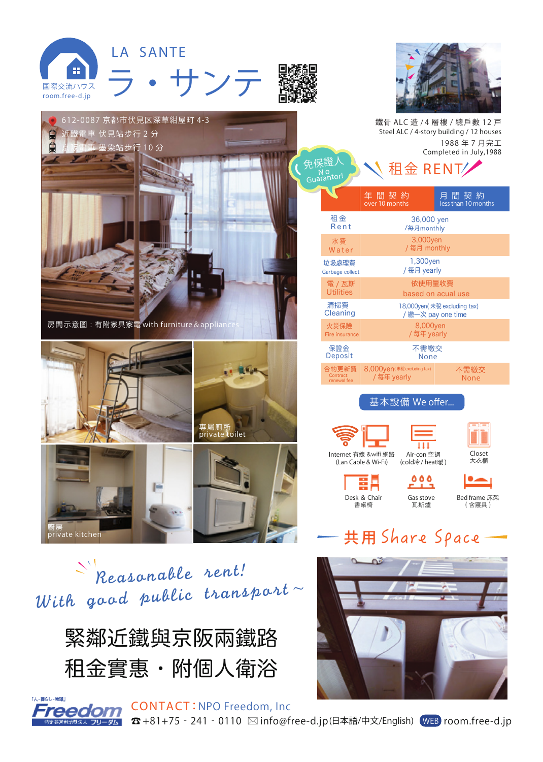



緊鄰近鐵與京阪兩鐵路 租金實惠・附個人衛浴

**「人・葬らし・始録」** 

CONTACT : **NPO Freedom, Inc** 

eedom ☎ +81+75‐241‐0110 info@free-d.jp(日本語/中文/English) WEB room.free-d.jp ホス フリーダム